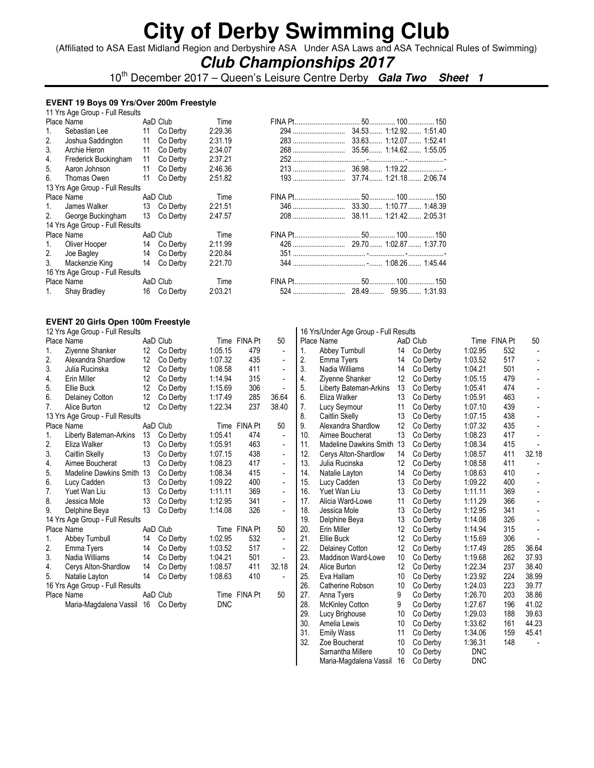(Affiliated to ASA East Midland Region and Derbyshire ASA Under ASA Laws and ASA Technical Rules of Swimming)

### **Club Championships 2017**

10th December 2017 – Queen's Leisure Centre Derby **Gala Two Sheet 1**

### **EVENT 19 Boys 09 Yrs/Over 200m Freestyle**

|    | 11 Yrs Age Group - Full Results    |             |         |  |  |
|----|------------------------------------|-------------|---------|--|--|
|    | Place Name <b>Example</b>          | AaD Club    | Time    |  |  |
| 1. | Sebastian Lee                      | 11 Co Derby | 2:29.36 |  |  |
| 2. | Joshua Saddington                  | 11 Co Derby | 2:31.19 |  |  |
| 3. | Archie Heron                       | 11 Co Derby | 2:34.07 |  |  |
| 4. | Frederick Buckingham               | 11 Co Derby | 2:37.21 |  |  |
| 5. | Aaron Johnson                      | 11 Co Derby | 2:46.36 |  |  |
| 6. | Thomas Owen                        | 11 Co Derby | 2:51.82 |  |  |
|    | 13 Yrs Age Group - Full Results    |             |         |  |  |
|    | Place Name                         | AaD Club    | Time    |  |  |
| 1. | James Walker                       | 13 Co Derby | 2:21.51 |  |  |
|    | 2. George Buckingham               | 13 Co Derby | 2:47.57 |  |  |
|    | 14 Yrs Age Group - Full Results    |             |         |  |  |
|    | Place Name <b>All Accord Place</b> | AaD Club    | Time    |  |  |
|    | 1. Oliver Hooper                   | 14 Co Derby | 2:11.99 |  |  |
|    | 2. Joe Bagley                      | 14 Co Derby | 2:20.84 |  |  |
|    | 3. Mackenzie King 14 Co Derby      |             | 2:21.70 |  |  |
|    | 16 Yrs Age Group - Full Results    |             |         |  |  |
|    | Place Name                         | AaD Club    | Time    |  |  |
|    | 1. Shay Bradley                    | 16 Co Derby | 2:03.21 |  |  |

#### **EVENT 20 Girls Open 100m Freestyle**  12 Yrs Age Group - Full Results

|                | Place Name                      |    | AaD Club |            | Time FINA Pt | 50             |
|----------------|---------------------------------|----|----------|------------|--------------|----------------|
| 1.             | Ziyenne Shanker                 | 12 | Co Derby | 1:05.15    | 479          | $\blacksquare$ |
| 2.             | Alexandra Shardlow              | 12 | Co Derby | 1:07.32    | 435          |                |
| 3.             | Julia Rucinska                  | 12 | Co Derby | 1:08.58    | 411          |                |
| 4.             | Erin Miller                     | 12 | Co Derby | 1:14.94    | 315          |                |
| 5.             | Ellie Buck                      | 12 | Co Derby | 1:15.69    | 306          |                |
| 6.             | Delainey Cotton                 | 12 | Co Derby | 1:17.49    | 285          | 36.64          |
| 7 <sub>1</sub> | Alice Burton                    | 12 | Co Derby | 1:22.34    | 237          | 38.40          |
|                | 13 Yrs Age Group - Full Results |    |          |            |              |                |
|                | Place Name                      |    | AaD Club |            | Time FINA Pt | 50             |
| 1.             | Liberty Bateman-Arkins          | 13 | Co Derby | 1:05.41    | 474          |                |
| 2.             | Eliza Walker                    | 13 | Co Derby | 1:05.91    | 463          |                |
| 3.             | Caitlin Skelly                  | 13 | Co Derby | 1:07.15    | 438          | $\overline{a}$ |
| 4.             | Aimee Boucherat                 | 13 | Co Derby | 1:08.23    | 417          |                |
| 5.             | Madeline Dawkins Smith 13       |    | Co Derby | 1:08.34    | 415          |                |
| 6.             | Lucy Cadden                     | 13 | Co Derby | 1:09.22    | 400          | $\overline{a}$ |
| 7.             | Yuet Wan Liu                    | 13 | Co Derby | 1:11.11    | 369          |                |
| 8.             | Jessica Mole                    | 13 | Co Derby | 1:12.95    | 341          |                |
| 9.             | Delphine Beya                   | 13 | Co Derby | 1:14.08    | 326          |                |
|                | 14 Yrs Age Group - Full Results |    |          |            |              |                |
|                | Place Name                      |    | AaD Club |            | Time FINA Pt | 50             |
| 1.             | Abbey Turnbull                  | 14 | Co Derby | 1:02.95    | 532          |                |
| 2.             | Emma Tyers                      | 14 | Co Derby | 1:03.52    | 517          |                |
| 3.             | Nadia Williams                  | 14 | Co Derby | 1:04.21    | 501          |                |
| 4.             | Cerys Alton-Shardlow            | 14 | Co Derby | 1:08.57    | 411          | 32.18          |
| 5.             | Natalie Layton                  | 14 | Co Derby | 1:08.63    | 410          |                |
|                | 16 Yrs Age Group - Full Results |    |          |            |              |                |
|                | Place Name                      |    | AaD Club |            | Time FINA Pt | 50             |
|                | Maria-Magdalena Vassil          | 16 | Co Derby | <b>DNC</b> |              |                |

|     | 16 Yrs/Under Age Group - Full Results |    |          |            |              |       |
|-----|---------------------------------------|----|----------|------------|--------------|-------|
|     | Place Name                            |    | AaD Club |            | Time FINA Pt | 50    |
| 1.  | Abbey Turnbull                        | 14 | Co Derby | 1:02.95    | 532          |       |
| 2.  | Emma Tyers                            | 14 | Co Derby | 1:03.52    | 517          | -     |
| 3.  | Nadia Williams                        | 14 | Co Derby | 1:04.21    | 501          |       |
| 4.  | Ziyenne Shanker                       | 12 | Co Derby | 1:05.15    | 479          |       |
| 5.  | Liberty Bateman-Arkins                | 13 | Co Derby | 1:05.41    | 474          |       |
| 6.  | Eliza Walker                          | 13 | Co Derby | 1:05.91    | 463          |       |
| 7.  | Lucy Seymour                          | 11 | Co Derby | 1:07.10    | 439          |       |
| 8.  | Caitlin Skelly                        | 13 | Co Derby | 1:07.15    | 438          |       |
| 9.  | Alexandra Shardlow                    | 12 | Co Derby | 1:07.32    | 435          |       |
| 10. | Aimee Boucherat                       | 13 | Co Derby | 1:08.23    | 417          |       |
| 11. | <b>Madeline Dawkins Smith</b>         | 13 | Co Derby | 1:08.34    | 415          |       |
| 12. | Cerys Alton-Shardlow                  | 14 | Co Derby | 1:08.57    | 411          | 32.18 |
| 13. | Julia Rucinska                        | 12 | Co Derby | 1:08.58    | 411          |       |
| 14. | Natalie Layton                        | 14 | Co Derby | 1:08.63    | 410          |       |
| 15. | Lucy Cadden                           | 13 | Co Derby | 1:09.22    | 400          |       |
| 16. | Yuet Wan Liu                          | 13 | Co Derby | 1:11.11    | 369          |       |
| 17. | Alicia Ward-Lowe                      | 11 | Co Derby | 1:11.29    | 366          |       |
| 18. | Jessica Mole                          | 13 | Co Derby | 1:12.95    | 341          |       |
| 19. | Delphine Beya                         | 13 | Co Derby | 1:14.08    | 326          |       |
| 20. | Erin Miller                           | 12 | Co Derby | 1:14.94    | 315          |       |
| 21. | Ellie Buck                            | 12 | Co Derby | 1:15.69    | 306          |       |
| 22. | Delainey Cotton                       | 12 | Co Derby | 1:17.49    | 285          | 36.64 |
| 23. | <b>Maddison Ward-Lowe</b>             | 10 | Co Derby | 1:19.68    | 262          | 37.93 |
| 24. | Alice Burton                          | 12 | Co Derby | 1:22.34    | 237          | 38.40 |
| 25. | Eva Hallam                            | 10 | Co Derby | 1:23.92    | 224          | 38.99 |
| 26. | Catherine Robson                      | 10 | Co Derby | 1:24.03    | 223          | 39.77 |
| 27. | Anna Tyers                            | 9  | Co Derby | 1:26.70    | 203          | 38.86 |
| 28. | <b>McKinley Cotton</b>                | 9  | Co Derby | 1:27.67    | 196          | 41.02 |
| 29. | Lucy Brighouse                        | 10 | Co Derby | 1:29.03    | 188          | 39.63 |
| 30. | Amelia Lewis                          | 10 | Co Derby | 1:33.62    | 161          | 44.23 |
| 31. | <b>Emily Wass</b>                     | 11 | Co Derby | 1:34.06    | 159          | 45.41 |
| 32. | Zoe Boucherat                         | 10 | Co Derby | 1:36.31    | 148          |       |
|     | Samantha Millere                      | 10 | Co Derby | <b>DNC</b> |              |       |
|     | Maria-Magdalena Vassil                | 16 | Co Derby | <b>DNC</b> |              |       |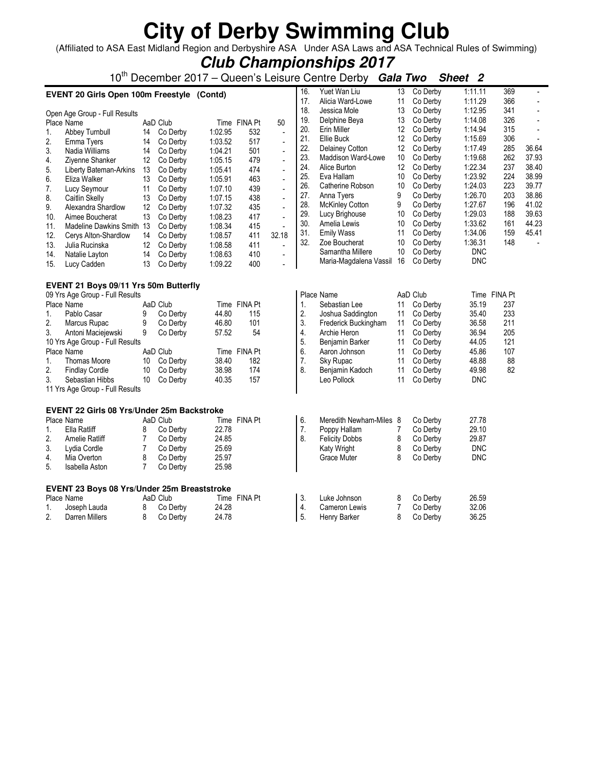(Affiliated to ASA East Midland Region and Derbyshire ASA Under ASA Laws and ASA Technical Rules of Swimming) **Club Championships 2017**

|     | Club Championships 2017                                                                                                 |                   |          |         |              |                          |     |                         |                   |          |            |              |                          |
|-----|-------------------------------------------------------------------------------------------------------------------------|-------------------|----------|---------|--------------|--------------------------|-----|-------------------------|-------------------|----------|------------|--------------|--------------------------|
|     | 10 <sup>th</sup> December 2017 – Queen's Leisure Centre Derby Gala Two<br>Sheet 2                                       |                   |          |         |              |                          |     |                         |                   |          |            |              |                          |
|     | Yuet Wan Liu<br>1:11.11<br>369<br>16.<br>13<br>Co Derby<br>$\blacksquare$<br>EVENT 20 Girls Open 100m Freestyle (Contd) |                   |          |         |              |                          |     |                         |                   |          |            |              |                          |
|     |                                                                                                                         |                   |          |         |              |                          | 17. | Alicia Ward-Lowe        | 11                | Co Derby | 1:11.29    | 366          | $\blacksquare$           |
|     | Open Age Group - Full Results                                                                                           |                   |          |         |              |                          | 18. | Jessica Mole            | 13                | Co Derby | 1:12.95    | 341          | $\blacksquare$           |
|     | Place Name                                                                                                              |                   | AaD Club |         | Time FINA Pt | 50                       | 19. | Delphine Beya           | 13                | Co Derby | 1:14.08    | 326          | $\overline{\phantom{a}}$ |
| 1.  | Abbey Turnbull                                                                                                          | 14                | Co Derby | 1:02.95 | 532          | $\frac{1}{2}$            | 20. | Erin Miller             | $12 \overline{ }$ | Co Derby | 1:14.94    | 315          | $\overline{\phantom{a}}$ |
| 2.  | Emma Tyers                                                                                                              | 14                | Co Derby | 1:03.52 | 517          | ÷,                       | 21. | Ellie Buck              | 12                | Co Derby | 1:15.69    | 306          |                          |
| 3.  | Nadia Williams                                                                                                          | 14                | Co Derby | 1:04.21 | 501          | $\blacksquare$           | 22. | Delainey Cotton         | 12                | Co Derby | 1:17.49    | 285          | 36.64                    |
| 4.  | Ziyenne Shanker                                                                                                         | $12 \overline{ }$ | Co Derby | 1:05.15 | 479          | $\blacksquare$           | 23. | Maddison Ward-Lowe      | 10                | Co Derby | 1:19.68    | 262          | 37.93                    |
| 5.  | Liberty Bateman-Arkins                                                                                                  | 13                | Co Derby | 1:05.41 | 474          | ÷.                       | 24. | Alice Burton            | 12                | Co Derby | 1:22.34    | 237          | 38.40                    |
| 6.  | Eliza Walker                                                                                                            | 13                | Co Derby | 1:05.91 | 463          | $\blacksquare$           | 25. | Eva Hallam              | 10                | Co Derby | 1:23.92    | 224          | 38.99                    |
| 7.  | Lucy Seymour                                                                                                            | 11                | Co Derby | 1:07.10 | 439          | L.                       | 26. | Catherine Robson        | 10                | Co Derby | 1:24.03    | 223          | 39.77                    |
| 8.  | Caitlin Skelly                                                                                                          | 13                | Co Derby | 1:07.15 | 438          | $\overline{\phantom{a}}$ | 27. | Anna Tyers              | 9                 | Co Derby | 1:26.70    | 203          | 38.86                    |
| 9.  | Alexandra Shardlow                                                                                                      | 12 <sup>°</sup>   | Co Derby | 1:07.32 | 435          | $\blacksquare$           | 28. | <b>McKinley Cotton</b>  | 9                 | Co Derby | 1:27.67    | 196          | 41.02                    |
| 10. | Aimee Boucherat                                                                                                         | 13                | Co Derby | 1:08.23 | 417          | $\overline{a}$           | 29. | Lucy Brighouse          | 10                | Co Derby | 1:29.03    | 188          | 39.63                    |
| 11. | Madeline Dawkins Smith 13                                                                                               |                   | Co Derby | 1:08.34 | 415          | $\blacksquare$           | 30. | Amelia Lewis            | 10                | Co Derby | 1:33.62    | 161          | 44.23                    |
| 12. | Cerys Alton-Shardlow                                                                                                    | 14                | Co Derby | 1:08.57 | 411          | 32.18                    | 31. | <b>Emily Wass</b>       | 11                | Co Derby | 1:34.06    | 159          | 45.41                    |
| 13. | Julia Rucinska                                                                                                          | 12                | Co Derby | 1:08.58 | 411          | $\blacksquare$           | 32. | Zoe Boucherat           | 10                | Co Derby | 1:36.31    | 148          |                          |
| 14. | Natalie Layton                                                                                                          | 14                | Co Derby | 1:08.63 | 410          | $\overline{a}$           |     | Samantha Millere        | 10                | Co Derby | <b>DNC</b> |              |                          |
| 15. | Lucy Cadden                                                                                                             | 13                | Co Derby | 1:09.22 | 400          | $\overline{a}$           |     | Maria-Magdalena Vassil  | 16                | Co Derby | <b>DNC</b> |              |                          |
|     | EVENT 21 Boys 09/11 Yrs 50m Butterfly                                                                                   |                   |          |         |              |                          |     |                         |                   |          |            |              |                          |
|     | 09 Yrs Age Group - Full Results                                                                                         |                   |          |         |              |                          |     | Place Name              |                   | AaD Club |            | Time FINA Pt |                          |
|     | Place Name                                                                                                              |                   | AaD Club |         | Time FINA Pt |                          | 1.  | Sebastian Lee           | 11                | Co Derby | 35.19      | 237          |                          |
| 1.  | Pablo Casar                                                                                                             | 9                 | Co Derby | 44.80   | 115          |                          | 2.  | Joshua Saddington       | 11                | Co Derby | 35.40      | 233          |                          |
| 2.  | Marcus Rupac                                                                                                            | 9                 | Co Derby | 46.80   | 101          |                          | 3.  | Frederick Buckingham    | 11                | Co Derby | 36.58      | 211          |                          |
| 3.  | Antoni Maciejewski                                                                                                      | 9                 | Co Derby | 57.52   | 54           |                          | 4.  | Archie Heron            | 11                | Co Derby | 36.94      | 205          |                          |
|     | 10 Yrs Age Group - Full Results                                                                                         |                   |          |         |              |                          | 5.  | Benjamin Barker         | 11                | Co Derby | 44.05      | 121          |                          |
|     | Place Name                                                                                                              |                   | AaD Club |         | Time FINA Pt |                          | 6.  | Aaron Johnson           | 11                | Co Derby | 45.86      | 107          |                          |
| 1.  | <b>Thomas Moore</b>                                                                                                     | 10                | Co Derby | 38.40   | 182          |                          | 7.  | Sky Rupac               | 11                | Co Derby | 48.88      | 88           |                          |
| 2.  | <b>Findlay Cordle</b>                                                                                                   | 10                | Co Derby | 38.98   | 174          |                          | 8.  | Benjamin Kadoch         | 11                | Co Derby | 49.98      | 82           |                          |
| 3.  | Sebastian Hibbs                                                                                                         | 10                | Co Derby | 40.35   | 157          |                          |     | Leo Pollock             | 11                | Co Derby | <b>DNC</b> |              |                          |
|     | 11 Yrs Age Group - Full Results                                                                                         |                   |          |         |              |                          |     |                         |                   |          |            |              |                          |
|     | <b>EVENT 22 Girls 08 Yrs/Under 25m Backstroke</b>                                                                       |                   |          |         |              |                          |     |                         |                   |          |            |              |                          |
|     | Place Name                                                                                                              |                   | AaD Club |         | Time FINA Pt |                          | 6.  | Meredith Newham-Miles 8 |                   | Co Derby | 27.78      |              |                          |
| 1.  | Ella Ratliff                                                                                                            | 8                 | Co Derby | 22.78   |              |                          | 7.  | Poppy Hallam            | 7                 | Co Derby | 29.10      |              |                          |
| 2.  | Amelie Ratliff                                                                                                          | 7                 | Co Derby | 24.85   |              |                          | 8.  | <b>Felicity Dobbs</b>   | 8                 | Co Derby | 29.87      |              |                          |
| 3.  | Lydia Cordle                                                                                                            | $\overline{7}$    | Co Derby | 25.69   |              |                          |     | Katy Wright             | 8                 | Co Derby | <b>DNC</b> |              |                          |
| 4.  | Mia Overton                                                                                                             | 8                 | Co Derby | 25.97   |              |                          |     | <b>Grace Muter</b>      | 8                 | Co Derby | <b>DNC</b> |              |                          |
| 5.  | Isabella Aston                                                                                                          | $\overline{7}$    | Co Derby | 25.98   |              |                          |     |                         |                   |          |            |              |                          |
|     | EVENT 23 Boys 08 Yrs/Under 25m Breaststroke                                                                             |                   |          |         |              |                          |     |                         |                   |          |            |              |                          |
|     | Place Name                                                                                                              |                   | AaD Club |         | Time FINA Pt |                          | 3.  | Luke Johnson            | 8                 | Co Derby | 26.59      |              |                          |
| 1.  | Joseph Lauda                                                                                                            | 8                 | Co Derby | 24.28   |              |                          | 4.  | Cameron Lewis           | 7                 | Co Derby | 32.06      |              |                          |
| 2.  | Darren Millers                                                                                                          | 8                 | Co Derby | 24.78   |              |                          | 5.  | Henry Barker            | 8                 | Co Derby | 36.25      |              |                          |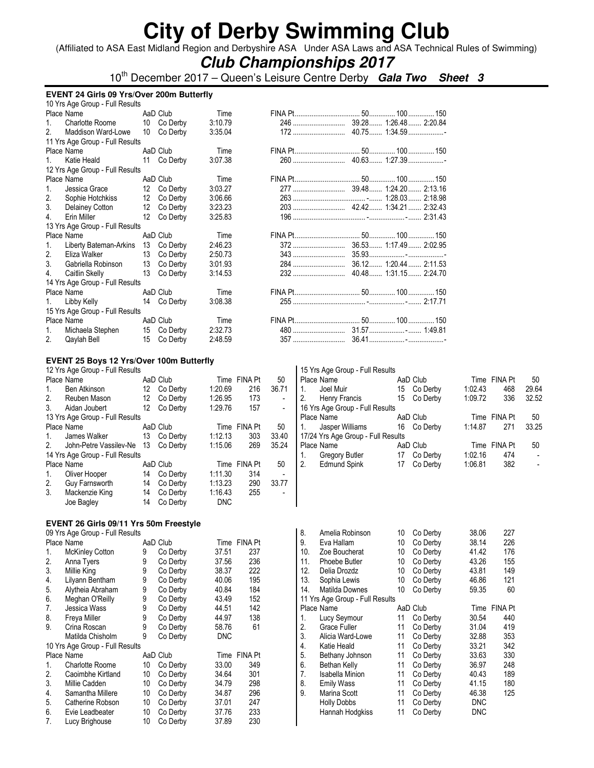(Affiliated to ASA East Midland Region and Derbyshire ASA Under ASA Laws and ASA Technical Rules of Swimming)

### **Club Championships 2017**

10th December 2017 – Queen's Leisure Centre Derby **Gala Two Sheet 3**

|                | <b>EVENT 24 Girls 09 Yrs/Over 200m Butterfly</b> |    |             |         |  |  |  |  |  |  |  |  |
|----------------|--------------------------------------------------|----|-------------|---------|--|--|--|--|--|--|--|--|
|                | 10 Yrs Age Group - Full Results                  |    |             |         |  |  |  |  |  |  |  |  |
|                | Place Name                                       |    | AaD Club    | Time    |  |  |  |  |  |  |  |  |
| 1 <sup>1</sup> | Charlotte Roome                                  |    | 10 Co Derby | 3:10.79 |  |  |  |  |  |  |  |  |
| 2.             | Maddison Ward-Lowe                               |    | 10 Co Derby | 3:35.04 |  |  |  |  |  |  |  |  |
|                | 11 Yrs Age Group - Full Results                  |    |             |         |  |  |  |  |  |  |  |  |
|                | Place Name                                       |    | AaD Club    | Time    |  |  |  |  |  |  |  |  |
| $1_{-}$        | Katie Heald                                      |    | 11 Co Derby | 3:07.38 |  |  |  |  |  |  |  |  |
|                | 12 Yrs Age Group - Full Results                  |    |             |         |  |  |  |  |  |  |  |  |
|                | Place Name                                       |    | AaD Club    | Time    |  |  |  |  |  |  |  |  |
| 1.             | Jessica Grace                                    |    | 12 Co Derby | 3:03.27 |  |  |  |  |  |  |  |  |
| 2.             | Sophie Hotchkiss                                 |    | 12 Co Derby | 3:06.66 |  |  |  |  |  |  |  |  |
| 3.             | Delainey Cotton                                  |    | 12 Co Derby | 3:23.23 |  |  |  |  |  |  |  |  |
| 4              | Erin Miller                                      | 12 | Co Derby    | 3:25.83 |  |  |  |  |  |  |  |  |
|                | 13 Yrs Age Group - Full Results                  |    |             |         |  |  |  |  |  |  |  |  |
|                | Place Name                                       |    | AaD Club    | Time    |  |  |  |  |  |  |  |  |
| $1_{-}$        | Liberty Bateman-Arkins                           |    | 13 Co Derby | 2:46.23 |  |  |  |  |  |  |  |  |
| 2.             | Eliza Walker                                     |    | 13 Co Derby | 2:50.73 |  |  |  |  |  |  |  |  |
| 3 <sup>1</sup> | Gabriella Robinson                               |    | 13 Co Derby | 3:01.93 |  |  |  |  |  |  |  |  |
| 4.             | Caitlin Skelly                                   | 13 | Co Derby    | 3:14.53 |  |  |  |  |  |  |  |  |
|                | 14 Yrs Age Group - Full Results                  |    |             |         |  |  |  |  |  |  |  |  |
|                | Place Name                                       |    | AaD Club    | Time    |  |  |  |  |  |  |  |  |
| $1_{\cdot}$    | Libby Kelly                                      |    | 14 Co Derby | 3:08.38 |  |  |  |  |  |  |  |  |
|                | 15 Yrs Age Group - Full Results                  |    |             |         |  |  |  |  |  |  |  |  |
|                | Place Name                                       |    | AaD Club    | Time    |  |  |  |  |  |  |  |  |
| 1.             | Michaela Stephen                                 |    | 15 Co Derby | 2:32.73 |  |  |  |  |  |  |  |  |
| 2.             | Qaylah Bell                                      |    | 15 Co Derby | 2:48.59 |  |  |  |  |  |  |  |  |

#### **EVENT 25 Boys 12 Yrs/Over 100m Butterfly**

|                | 12 Yrs Age Group - Full Results |    |          |            |              |                          |            | 15 Yrs Age Group - Full Results    |    |          |         |              |       |
|----------------|---------------------------------|----|----------|------------|--------------|--------------------------|------------|------------------------------------|----|----------|---------|--------------|-------|
|                | Place Name                      |    | AaD Club |            | Time FINA Pt | 50                       |            | Place Name                         |    | AaD Club |         | Time FINA Pt | 50    |
| 1.             | Ben Atkinson                    | 12 | Co Derby | 1:20.69    | 216          | 36.71                    |            | Joel Muir                          | 15 | Co Derby | 1:02.43 | 468          | 29.64 |
| 2.             | Reuben Mason                    | 12 | Co Derby | 1:26.95    | 173          | $\overline{\phantom{0}}$ | $\cdot$ 2. | Henry Francis                      | 15 | Co Derby | 1:09.72 | 336          | 32.52 |
| 3.             | Aidan Joubert                   | 12 | Co Derby | 1:29.76    | 157          | $\overline{\phantom{0}}$ |            | 16 Yrs Age Group - Full Results    |    |          |         |              |       |
|                | 13 Yrs Age Group - Full Results |    |          |            |              |                          |            | Place Name                         |    | AaD Club |         | Time FINA Pt | 50    |
|                | Place Name                      |    | AaD Club |            | Time FINA Pt | 50                       |            | Jasper Williams                    | 16 | Co Derby | 1:14.87 | 271          | 33.25 |
|                | James Walker                    | 13 | Co Derby | 1:12.13    | 303          | 33.40                    |            | 17/24 Yrs Age Group - Full Results |    |          |         |              |       |
| 2 <sub>1</sub> | John-Petre Vassilev-Ne          | 13 | Co Derby | 1:15.06    | 269          | 35.24                    |            | Place Name                         |    | AaD Club |         | Time FINA Pt | 50    |
|                | 14 Yrs Age Group - Full Results |    |          |            |              |                          |            | Gregory Butler                     | 17 | Co Derby | 1:02.16 | 474          | ۰.    |
|                | Place Name                      |    | AaD Club | Time       | FINA Pt      | 50                       | 2.         | Edmund Spink                       | 17 | Co Derby | 1:06.81 | 382          |       |
|                | Oliver Hooper                   | 14 | Co Derby | 1:11.30    | 314          |                          |            |                                    |    |          |         |              |       |
| 2.             | Guy Farnsworth                  | 14 | Co Derby | 1:13.23    | 290          | 33.77                    |            |                                    |    |          |         |              |       |
| 3.             | Mackenzie King                  | 14 | Co Derby | 1:16.43    | 255          |                          |            |                                    |    |          |         |              |       |
|                | Joe Bagley                      | 14 | Co Derby | <b>DNC</b> |              |                          |            |                                    |    |          |         |              |       |

#### **EVENT 26 Girls 09/11 Yrs 50m Freestyle**  09 Yrs Age Group - Full Results

| US TIS AYE GIUUP - FUII NESUIS |    |                                 |                      |                |
|--------------------------------|----|---------------------------------|----------------------|----------------|
| Place Name                     |    |                                 |                      | Time FINA Pt   |
| <b>McKinley Cotton</b>         | 9  | Co Derby                        | 37.51                | 237            |
| Anna Tyers                     | 9  | Co Derby                        | 37.56                | 236            |
| Millie King                    | 9  | Co Derby                        | 38.37                | 222            |
| Lilyann Bentham                | 9  | Co Derby                        | 40.06                | 195            |
| Alytheia Abraham               | 9  | Co Derby                        | 40.84                | 184            |
| Meghan O'Reilly                | 9  | Co Derby                        | 43.49                | 152            |
| Jessica Wass                   | 9  | Co Derby                        | 44.51                | 142            |
| Freya Miller                   | 9  | Co Derby                        | 44.97                | 138            |
| Crina Roscan                   | 9  | Co Derby                        | 58.76                | 61             |
| Matilda Chisholm               | 9  | Co Derby                        | <b>DNC</b>           |                |
|                                |    |                                 |                      |                |
| Place Name                     |    |                                 | Time                 | <b>FINA Pt</b> |
| <b>Charlotte Roome</b>         | 10 | Co Derby                        | 33.00                | 349            |
| Caoimbhe Kirtland              | 10 | Co Derby                        | 34.64                | 301            |
| Millie Cadden                  | 10 | Co Derby                        | 34.79                | 298            |
| Samantha Millere               | 10 | Co Derby                        | 34.87                | 296            |
| Catherine Robson               | 10 | Co Derby                        | 37.01                | 247            |
| Evie Leadbeater                | 10 | Co Derby                        | 37.76                | 233            |
| Lucy Brighouse                 | 10 | Co Derby                        | 37.89                | 230            |
|                                |    | 10 Yrs Age Group - Full Results | AaD Club<br>AaD Club |                |

| 8.  | Amelia Robinson                 | 10 | Co Derby | 38.06      | 227            |
|-----|---------------------------------|----|----------|------------|----------------|
| 9.  | Eva Hallam                      | 10 | Co Derby | 38.14      | 226            |
| 10. | Zoe Boucherat                   | 10 | Co Derby | 41.42      | 176            |
| 11. | Phoebe Butler                   | 10 | Co Derby | 43.26      | 155            |
| 12. | Delia Drozdz                    | 10 | Co Derby | 43.81      | 149            |
| 13. | Sophia Lewis                    | 10 | Co Derby | 46.86      | 121            |
| 14. | Matilda Downes                  | 10 | Co Derby | 59.35      | 60             |
|     | 11 Yrs Age Group - Full Results |    |          |            |                |
|     | Place Name                      |    | AaD Club | Time       | <b>FINA Pt</b> |
| 1.  | Lucy Seymour                    | 11 | Co Derby | 30.54      | 440            |
| 2.  | Grace Fuller                    | 11 | Co Derby | 31.04      | 419            |
| 3.  | Alicia Ward-Lowe                | 11 | Co Derby | 32.88      | 353            |
| 4.  | Katie Heald                     | 11 | Co Derby | 33.21      | 342            |
| 5.  | Bethany Johnson                 | 11 | Co Derby | 33.63      | 330            |
| 6.  | Bethan Kelly                    | 11 | Co Derby | 36.97      | 248            |
| 7.  | <b>Isabella Minion</b>          | 11 | Co Derby | 40.43      | 189            |
| 8.  | <b>Emily Wass</b>               | 11 | Co Derby | 41.15      | 180            |
| 9.  | Marina Scott                    | 11 | Co Derby | 46.38      | 125            |
|     | <b>Holly Dobbs</b>              | 11 | Co Derby | <b>DNC</b> |                |
|     | Hannah Hodgkiss                 | 11 | Co Derby | <b>DNC</b> |                |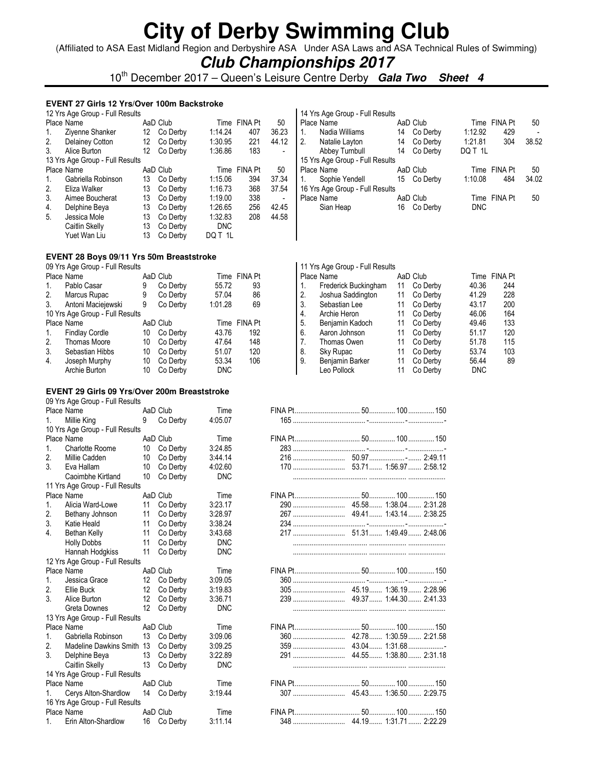(Affiliated to ASA East Midland Region and Derbyshire ASA Under ASA Laws and ASA Technical Rules of Swimming)

### **Club Championships 2017**

10<sup>th</sup> December 2017 – Queen's Leisure Centre Derby **Gala Two Sheet 4** 

#### **EVENT 27 Girls 12 Yrs/Over 100m Backstroke**

|    | 12 Yrs Age Group - Full Results |    |          |            |                |       |
|----|---------------------------------|----|----------|------------|----------------|-------|
|    | Place Name                      |    | AaD Club | Time       | <b>FINA Pt</b> | 50    |
| 1. | Ziyenne Shanker                 | 12 | Co Derby | 1:14.24    | 407            | 36.23 |
| 2. | <b>Delainey Cotton</b>          | 12 | Co Derby | 1:30.95    | 221            | 44.12 |
| 3. | Alice Burton                    | 12 | Co Derby | 1:36.86    | 183            |       |
|    | 13 Yrs Age Group - Full Results |    |          |            |                |       |
|    | Place Name                      |    | AaD Club | Time       | <b>FINA Pt</b> | 50    |
| 1. | Gabriella Robinson              | 13 | Co Derby | 1:15.06    | 394            | 37.34 |
| 2. | Eliza Walker                    | 13 | Co Derby | 1:16.73    | 368            | 37.54 |
| 3. | Aimee Boucherat                 | 13 | Co Derby | 1:19.00    | 338            |       |
| 4. | Delphine Beya                   | 13 | Co Derby | 1:26.65    | 256            | 42.45 |
| 5. | Jessica Mole                    | 13 | Co Derby | 1:32.83    | 208            | 44.58 |
|    | Caitlin Skelly                  | 13 | Co Derby | <b>DNC</b> |                |       |
|    | Yuet Wan Liu                    | 13 | Co Derby | DO T 1L    |                |       |

| 14 Yrs Age Group - Full Results |    |             |            |              |       |
|---------------------------------|----|-------------|------------|--------------|-------|
| Place Name                      |    | AaD Club    |            | Time FINA Pt | 50    |
| Nadia Williams<br>1.            | 14 | Co Derby    | 1:12.92    | 429          |       |
| 2. Natalie Layton               |    | 14 Co Derby | 1:21.81    | 304          | 38.52 |
| Abbey Turnbull                  | 14 | Co Derby    | DQ T 1L    |              |       |
| 15 Yrs Age Group - Full Results |    |             |            |              |       |
| Place Name                      |    | AaD Club    |            | Time FINA Pt | 50    |
| Sophie Yendell                  |    | 15 Co Derby | 1:10.08    | 484          | 34.02 |
| 16 Yrs Age Group - Full Results |    |             |            |              |       |
| Place Name                      |    | AaD Club    |            | Time FINA Pt | 50    |
| Sian Heap                       | 16 | Co Derby    | <b>DNC</b> |              |       |
|                                 |    |             |            |              |       |

#### **EVENT 28 Boys 09/11 Yrs 50m Breaststroke**

| 09 Yrs Age Group - Full Results |                                 |    |          |         |                |  |  |  |  |  |  |
|---------------------------------|---------------------------------|----|----------|---------|----------------|--|--|--|--|--|--|
|                                 | Place Name                      |    | AaD Club |         | Time FINA Pt   |  |  |  |  |  |  |
| 1.                              | Pablo Casar                     | 9  | Co Derby | 55.72   | 93             |  |  |  |  |  |  |
| 2.                              | Marcus Rupac                    | 9  | Co Derby | 57.04   | 86             |  |  |  |  |  |  |
| 3.                              | Antoni Maciejewski              | 9  | Co Derby | 1:01.28 | 69             |  |  |  |  |  |  |
|                                 | 10 Yrs Age Group - Full Results |    |          |         |                |  |  |  |  |  |  |
|                                 |                                 |    |          |         |                |  |  |  |  |  |  |
|                                 | Place Name                      |    | AaD Club | Time    | <b>FINA Pt</b> |  |  |  |  |  |  |
| $\mathbf{1}$ .                  | <b>Findlay Cordle</b>           | 10 | Co Derby | 43.76   | 192            |  |  |  |  |  |  |
| 2.                              | <b>Thomas Moore</b>             | 10 | Co Derby | 47.64   | 148            |  |  |  |  |  |  |
| 3.                              | Sebastian Hibbs                 | 10 | Co Derby | 51.07   | 120            |  |  |  |  |  |  |
| 4.                              | Joseph Murphy                   | 10 | Co Derby | 53.34   | 106            |  |  |  |  |  |  |

#### **EVENT 29 Girls 09 Yrs/Over 200m Breaststroke**

| 09 Yrs Age Group - Full Results          |                 |             |            |     |                          |  |
|------------------------------------------|-----------------|-------------|------------|-----|--------------------------|--|
| Place Name                               |                 | AaD Club    | Time       |     |                          |  |
| Millie King<br>1.                        | 9               | Co Derby    | 4:05.07    |     |                          |  |
| 10 Yrs Age Group - Full Results          |                 |             |            |     |                          |  |
| Place Name                               |                 | AaD Club    | Time       |     |                          |  |
| 1 <sup>1</sup><br><b>Charlotte Roome</b> |                 | 10 Co Derby | 3:24.85    |     |                          |  |
| 2.<br>Millie Cadden                      | 10 <sup>°</sup> | Co Derbv    | 3:44.14    |     |                          |  |
| 3.<br>Eva Hallam                         | 10              | Co Derby    | 4:02.60    |     |                          |  |
| Caoimbhe Kirtland                        | 10              | Co Derby    | <b>DNC</b> |     |                          |  |
| 11 Yrs Age Group - Full Results          |                 |             |            |     |                          |  |
| Place Name                               |                 | AaD Club    | Time       |     |                          |  |
| Alicia Ward-Lowe<br>1 <sup>1</sup>       | 11              | Co Derby    | 3:23.17    |     |                          |  |
| Bethany Johnson<br>2.                    | 11              | Co Derby    | 3:28.97    |     |                          |  |
| 3.<br>Katie Heald                        | 11              | Co Derby    | 3:38.24    |     |                          |  |
| $\overline{4}$ .<br>Bethan Kelly         | 11              | Co Derby    | 3:43.68    |     |                          |  |
| <b>Holly Dobbs</b>                       | 11              | Co Derby    | <b>DNC</b> |     |                          |  |
| Hannah Hodgkiss                          | 11              | Co Derby    | <b>DNC</b> |     |                          |  |
| 12 Yrs Age Group - Full Results          |                 |             |            |     |                          |  |
| Place Name                               |                 | AaD Club    | Time       |     |                          |  |
| $1_{-}$<br>Jessica Grace                 |                 | 12 Co Derby | 3:09.05    |     |                          |  |
| 2.<br>Ellie Buck                         |                 | 12 Co Derby | 3:19.83    |     |                          |  |
| 3.<br>Alice Burton                       | 12 <sup>°</sup> | Co Derby    | 3:36.71    |     |                          |  |
| Greta Downes                             | 12              | Co Derby    | <b>DNC</b> |     |                          |  |
| 13 Yrs Age Group - Full Results          |                 |             |            |     |                          |  |
| Place Name                               |                 | AaD Club    | Time       |     |                          |  |
| $1_{\cdot}$<br>Gabriella Robinson        |                 | 13 Co Derby | 3:09.06    |     |                          |  |
| Madeline Dawkins Smith 13<br>2.          |                 | Co Derby    | 3:09.25    |     |                          |  |
| 3.<br>Delphine Beya                      | 13              | Co Derby    | 3:22.89    |     |                          |  |
| Caitlin Skelly                           | 13              | Co Derby    | <b>DNC</b> |     |                          |  |
| 14 Yrs Age Group - Full Results          |                 |             |            |     |                          |  |
| Place Name                               |                 | AaD Club    | Time       |     |                          |  |
| Cerys Alton-Shardlow                     |                 | 14 Co Derby | 3:19.44    |     |                          |  |
| 16 Yrs Age Group - Full Results          |                 |             |            |     |                          |  |
| Place Name                               |                 | AaD Club    | Time       |     |                          |  |
| 1 Frin Alton-Shardlow                    |                 | 16 Co Derby | 3.1114     | 348 | $4419$ $1:3171$ $2:2229$ |  |

|            | 11 Yrs Age Group - Full Results |    |          |            |         |
|------------|---------------------------------|----|----------|------------|---------|
| Place Name |                                 |    | AaD Club | Time       | FINA Pt |
| 1.         | Frederick Buckingham            | 11 | Co Derby | 40.36      | 244     |
| 2.         | Joshua Saddington               | 11 | Co Derby | 41.29      | 228     |
| 3.         | Sebastian Lee                   | 11 | Co Derby | 43.17      | 200     |
| 4.         | Archie Heron                    | 11 | Co Derby | 46.06      | 164     |
| 5.         | Benjamin Kadoch                 | 11 | Co Derby | 49.46      | 133     |
| 6.         | Aaron Johnson                   | 11 | Co Derby | 51.17      | 120     |
| 7.         | Thomas Owen                     | 11 | Co Derby | 51.78      | 115     |
| 8.         | Sky Rupac                       | 11 | Co Derby | 53.74      | 103     |
| 9.         | Benjamin Barker                 | 11 | Co Derby | 56.44      | 89      |
|            | Leo Pollock                     | 11 | Co Derby | <b>DNC</b> |         |

|         | Place Name                      |                 | AaD Club    | Time       |  |  |
|---------|---------------------------------|-----------------|-------------|------------|--|--|
| $1_{-}$ | Millie King                     | 9               | Co Derby    | 4:05.07    |  |  |
|         | 10 Yrs Age Group - Full Results |                 |             |            |  |  |
|         | Place Name                      |                 | AaD Club    | Time       |  |  |
| 1.      | <b>Charlotte Roome</b>          | 10              | Co Derby    | 3:24.85    |  |  |
| 2.      | Millie Cadden                   | 10              | Co Derby    | 3:44.14    |  |  |
| 3.      | Eva Hallam                      | 10              | Co Derby    | 4:02.60    |  |  |
|         | Caoimbhe Kirtland               | 10              | Co Derby    | <b>DNC</b> |  |  |
|         | 11 Yrs Age Group - Full Results |                 |             |            |  |  |
|         | Place Name                      |                 | AaD Club    | Time       |  |  |
| $1_{-}$ | Alicia Ward-Lowe                | 11              | Co Derby    | 3:23.17    |  |  |
| 2.      | Bethany Johnson                 | 11              | Co Derby    | 3:28.97    |  |  |
| 3.      | Katie Heald                     | 11              | Co Derby    | 3:38.24    |  |  |
| 4.      | Bethan Kelly                    | 11              | Co Derby    | 3:43.68    |  |  |
|         | <b>Holly Dobbs</b>              | 11              | Co Derby    | <b>DNC</b> |  |  |
|         | Hannah Hodgkiss                 | 11              | Co Derby    | <b>DNC</b> |  |  |
|         | 12 Yrs Age Group - Full Results |                 |             |            |  |  |
|         | Place Name                      |                 | AaD Club    | Time       |  |  |
| $1_{-}$ | Jessica Grace                   |                 | 12 Co Derby | 3:09.05    |  |  |
| 2.      | Ellie Buck                      | 12 <sup>°</sup> | Co Derby    | 3:19.83    |  |  |
| 3.      | Alice Burton                    | 12              | Co Derby    | 3:36.71    |  |  |
|         | Greta Downes                    |                 | 12 Co Derby | <b>DNC</b> |  |  |
|         | 13 Yrs Age Group - Full Results |                 |             |            |  |  |
|         | Place Name                      |                 | AaD Club    | Time       |  |  |
| 1.      | Gabriella Robinson              |                 | 13 Co Derby | 3:09.06    |  |  |
| 2.      | Madeline Dawkins Smith 13       |                 | Co Derby    | 3:09.25    |  |  |
| 3.      | Delphine Beya                   | 13              | Co Derby    | 3:22.89    |  |  |
|         | Caitlin Skelly                  | 13              | Co Derby    | <b>DNC</b> |  |  |
|         | 14 Yrs Age Group - Full Results |                 |             |            |  |  |
|         | Place Name                      |                 | AaD Club    | Time       |  |  |
| 1.      | Cerys Alton-Shardlow            |                 | 14 Co Derby | 3:19.44    |  |  |
|         | 16 Yrs Age Group - Full Results |                 |             |            |  |  |
|         | Place Name                      |                 | AaD Club    | Time       |  |  |
| 1.      | Erin Alton-Shardlow             |                 | 16 Co Derby | 3:11.14    |  |  |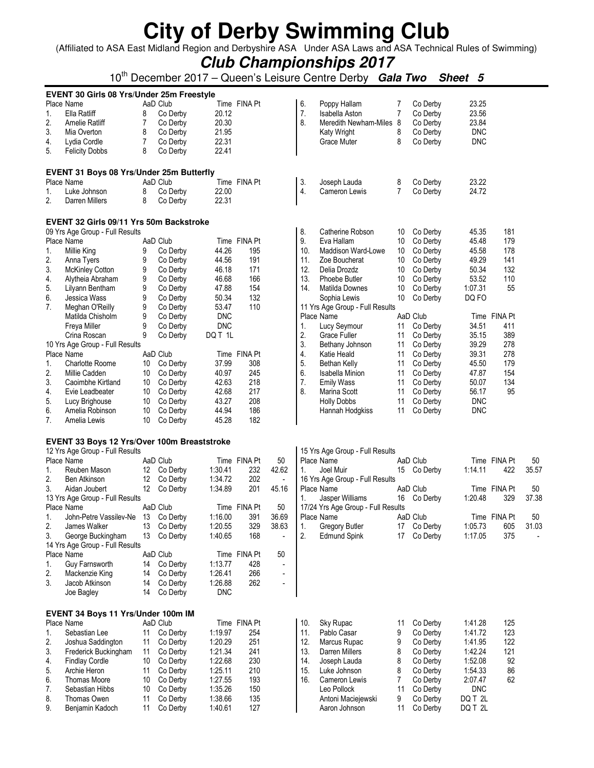(Affiliated to ASA East Midland Region and Derbyshire ASA Under ASA Laws and ASA Technical Rules of Swimming)

### **Club Championships 2017**

10th December 2017 – Queen's Leisure Centre Derby **Gala Two Sheet 5**

|          | EVENT 30 Girls 08 Yrs/Under 25m Freestyle   |          |                      |                    |              |                          |     |                                     |                |                      |                    |              |       |
|----------|---------------------------------------------|----------|----------------------|--------------------|--------------|--------------------------|-----|-------------------------------------|----------------|----------------------|--------------------|--------------|-------|
|          | Place Name                                  |          | AaD Club             |                    | Time FINA Pt |                          | 6.  | Poppy Hallam                        | 7              | Co Derby             | 23.25              |              |       |
| 1.       | Ella Ratliff                                | 8        | Co Derby             | 20.12              |              |                          | 7.  | Isabella Aston                      | $\overline{7}$ | Co Derby             | 23.56              |              |       |
| 2.       | Amelie Ratliff                              | 7        | Co Derby             | 20.30              |              |                          | 8.  | Meredith Newham-Miles 8             |                | Co Derby             | 23.84              |              |       |
| 3.       | Mia Overton                                 | 8        | Co Derby             | 21.95              |              |                          |     | Katy Wright                         | 8              | Co Derby             | <b>DNC</b>         |              |       |
| 4.       | Lydia Cordle                                | 7        | Co Derby             | 22.31              |              |                          |     | Grace Muter                         | 8              | Co Derby             | <b>DNC</b>         |              |       |
| 5.       | <b>Felicity Dobbs</b>                       | 8        | Co Derby             | 22.41              |              |                          |     |                                     |                |                      |                    |              |       |
|          | EVENT 31 Boys 08 Yrs/Under 25m Butterfly    |          |                      |                    |              |                          |     |                                     |                |                      |                    |              |       |
|          | Place Name                                  |          | AaD Club             |                    | Time FINA Pt |                          | 3.  | Joseph Lauda                        | 8              | Co Derby             | 23.22              |              |       |
| 1.       | Luke Johnson                                | 8        | Co Derby             | 22.00              |              |                          | 4.  | Cameron Lewis                       | $\overline{7}$ | Co Derby             | 24.72              |              |       |
| 2.       | Darren Millers                              | 8        | Co Derby             | 22.31              |              |                          |     |                                     |                |                      |                    |              |       |
|          | EVENT 32 Girls 09/11 Yrs 50m Backstroke     |          |                      |                    |              |                          |     |                                     |                |                      |                    |              |       |
|          | 09 Yrs Age Group - Full Results             |          |                      |                    |              |                          | 8.  | Catherine Robson                    | 10             | Co Derby             | 45.35              | 181          |       |
|          | Place Name                                  |          | AaD Club             |                    | Time FINA Pt |                          | 9.  | Eva Hallam                          | 10             | Co Derby             | 45.48              | 179          |       |
| 1.       | Millie King                                 | 9        | Co Derby             | 44.26              | 195          |                          | 10. | Maddison Ward-Lowe                  | 10             | Co Derby             | 45.58              | 178          |       |
| 2.       | Anna Tyers                                  | 9        | Co Derby             | 44.56              | 191          |                          | 11. | Zoe Boucherat                       | 10             | Co Derby             | 49.29              | 141          |       |
| 3.       | McKinley Cotton                             | 9        | Co Derby             | 46.18              | 171          |                          | 12. | Delia Drozdz                        | 10             | Co Derby             | 50.34              | 132          |       |
| 4.       | Alytheia Abraham                            | 9        | Co Derby             | 46.68              | 166          |                          | 13. | Phoebe Butler                       | 10             | Co Derby             | 53.52              | 110          |       |
| 5.       | Lilyann Bentham                             | 9        | Co Derby             | 47.88              | 154          |                          | 14. | Matilda Downes                      | 10             | Co Derby             | 1:07.31            | 55           |       |
| 6.       | Jessica Wass                                | 9        | Co Derby             | 50.34              | 132          |                          |     | Sophia Lewis                        | 10             | Co Derby             | DQ FO              |              |       |
| 7.       | Meghan O'Reilly                             | 9        | Co Derby             | 53.47              | 110          |                          |     | 11 Yrs Age Group - Full Results     |                |                      |                    |              |       |
|          | Matilda Chisholm                            | 9        | Co Derby             | <b>DNC</b>         |              |                          |     | Place Name                          |                | AaD Club             |                    | Time FINA Pt |       |
|          | Freya Miller                                | 9        | Co Derby             | <b>DNC</b>         |              |                          | 1.  | Lucy Seymour                        | 11             | Co Derby             | 34.51              | 411          |       |
|          | Crina Roscan                                | 9        | Co Derby             | DQ T 1L            |              |                          | 2.  | <b>Grace Fuller</b>                 | 11             | Co Derby             | 35.15              | 389          |       |
|          | 10 Yrs Age Group - Full Results             |          |                      |                    |              |                          | 3.  | Bethany Johnson                     | 11             | Co Derby             | 39.29              | 278          |       |
|          | Place Name                                  |          | AaD Club             |                    | Time FINA Pt |                          | 4.  | Katie Heald                         | 11             | Co Derby             | 39.31              | 278          |       |
| 1.       | <b>Charlotte Roome</b>                      | 10       | Co Derby             | 37.99              | 308          |                          | 5.  | Bethan Kelly                        | 11             | Co Derby             | 45.50              | 179          |       |
| 2.       | Millie Cadden                               | 10       | Co Derby             | 40.97              | 245          |                          | 6.  | <b>Isabella Minion</b>              | 11             | Co Derby             | 47.87              | 154          |       |
| 3.       | Caoimbhe Kirtland                           | 10       | Co Derby             | 42.63              | 218          |                          | 7.  | <b>Emily Wass</b>                   | 11             | Co Derby             | 50.07              | 134          |       |
| 4.       | Evie Leadbeater                             | 10       | Co Derby             | 42.68              | 217          |                          | 8.  | Marina Scott                        | 11             | Co Derby             | 56.17              | 95           |       |
|          |                                             |          |                      |                    |              |                          |     |                                     |                |                      |                    |              |       |
| 5.       | Lucy Brighouse                              | 10       | Co Derby             | 43.27              | 208          |                          |     | <b>Holly Dobbs</b>                  | 11             | Co Derby             | <b>DNC</b>         |              |       |
| 6.       | Amelia Robinson                             | 10       | Co Derby             | 44.94              | 186          |                          |     | Hannah Hodgkiss                     | 11             | Co Derby             | <b>DNC</b>         |              |       |
| 7.       | Amelia Lewis                                | 10       | Co Derby             | 45.28              | 182          |                          |     |                                     |                |                      |                    |              |       |
|          | EVENT 33 Boys 12 Yrs/Over 100m Breaststroke |          |                      |                    |              |                          |     |                                     |                |                      |                    |              |       |
|          | 12 Yrs Age Group - Full Results             |          |                      |                    |              |                          |     | 15 Yrs Age Group - Full Results     |                |                      |                    |              |       |
|          | Place Name                                  |          | AaD Club             |                    | Time FINA Pt | 50                       |     | Place Name                          |                | AaD Club             |                    | Time FINA Pt | 50    |
| 1.       | Reuben Mason                                |          | 12 Co Derby          | 1:30.41            | 232          | 42.62                    | 1.  | Joel Muir                           |                | 15 Co Derby          | 1:14.11            | 422          | 35.57 |
| 2.       | Ben Atkinson                                | 12       | Co Derby             | 1:34.72            | 202          |                          |     | 16 Yrs Age Group - Full Results     |                |                      |                    |              |       |
| 3.       | Aidan Joubert                               |          | 12 Co Derby          | 1:34.89            | 201          | 45.16                    |     | Place Name                          |                | AaD Club             |                    | Time FINA Pt | 50    |
|          | 13 Yrs Age Group - Full Results             |          |                      |                    |              |                          | 1.  | Jasper Williams                     |                | 16 Co Derby          | 1:20.48            | 329          | 37.38 |
|          | Place Name                                  |          | AaD Club             |                    | Time FINA Pt | 50                       |     | 17/24 Yrs Age Group - Full Results  |                |                      |                    |              |       |
| 1.       | John-Petre Vassilev-Ne 13 Co Derby          |          |                      | 1:16.00            | 391          | 36.69                    |     | Place Name                          |                | AaD Club             |                    | Time FINA Pt | 50    |
| 2.       | James Walker                                |          | 13 Co Derby          | 1:20.55            | 329          | 38.63                    | 1.  | Gregory Butler                      |                | 17 Co Derby          | 1:05.73            | 605          | 31.03 |
| 3.       | George Buckingham                           | 13       | Co Derby             | 1:40.65            | 168          | $\overline{a}$           | 2.  | <b>Edmund Spink</b>                 | 17             | Co Derby             | 1:17.05            | 375          |       |
|          | 14 Yrs Age Group - Full Results             |          |                      |                    |              |                          |     |                                     |                |                      |                    |              |       |
|          | Place Name                                  |          | AaD Club             |                    | Time FINA Pt | 50                       |     |                                     |                |                      |                    |              |       |
| 1.       | Guy Farnsworth                              | 14       | Co Derby             | 1:13.77            | 428          | $\overline{a}$           |     |                                     |                |                      |                    |              |       |
| 2.       | Mackenzie King                              | 14       | Co Derby             | 1:26.41            | 266          | $\overline{\phantom{a}}$ |     |                                     |                |                      |                    |              |       |
| 3.       | Jacob Atkinson                              | 14       | Co Derby             | 1:26.88            | 262          | $\blacksquare$           |     |                                     |                |                      |                    |              |       |
|          | Joe Bagley                                  | 14       | Co Derby             | <b>DNC</b>         |              |                          |     |                                     |                |                      |                    |              |       |
|          | EVENT 34 Boys 11 Yrs/Under 100m IM          |          |                      |                    |              |                          |     |                                     |                |                      |                    |              |       |
|          | Place Name                                  |          | AaD Club             |                    | Time FINA Pt |                          | 10. | Sky Rupac                           | 11             | Co Derby             | 1:41.28            | 125          |       |
| 1.       | Sebastian Lee                               | 11       | Co Derby             | 1:19.97            | 254          |                          | 11. | Pablo Casar                         | 9              | Co Derby             | 1:41.72            | 123          |       |
| 2.       | Joshua Saddington                           | 11       | Co Derby             | 1:20.29            | 251          |                          | 12. | Marcus Rupac                        | 9              | Co Derby             | 1:41.95            | 122          |       |
| 3.       | Frederick Buckingham                        | 11       | Co Derby             | 1:21.34            | 241          |                          | 13. | Darren Millers                      | 8              | Co Derby             | 1:42.24            | 121          |       |
| 4.       | <b>Findlay Cordle</b>                       | 10       | Co Derby             | 1:22.68            | 230          |                          | 14. | Joseph Lauda                        | 8              | Co Derby             | 1:52.08            | 92           |       |
| 5.       | Archie Heron                                | 11       | Co Derby             | 1:25.11            | 210          |                          | 15. | Luke Johnson                        | 8              | Co Derby             | 1:54.33            | 86           |       |
| 6.       | Thomas Moore                                | 10       | Co Derby             | 1:27.55            | 193          |                          | 16. | Cameron Lewis                       | 7              | Co Derby             | 2:07.47            | 62           |       |
| 7.       | Sebastian Hibbs                             | 10       | Co Derby             | 1:35.26            | 150          |                          |     | Leo Pollock                         | 11             | Co Derby             | <b>DNC</b>         |              |       |
| 8.<br>9. | Thomas Owen<br>Benjamin Kadoch              | 11<br>11 | Co Derby<br>Co Derby | 1:38.66<br>1:40.61 | 135<br>127   |                          |     | Antoni Maciejewski<br>Aaron Johnson | 9<br>11        | Co Derby<br>Co Derby | DQ T 2L<br>DQ T 2L |              |       |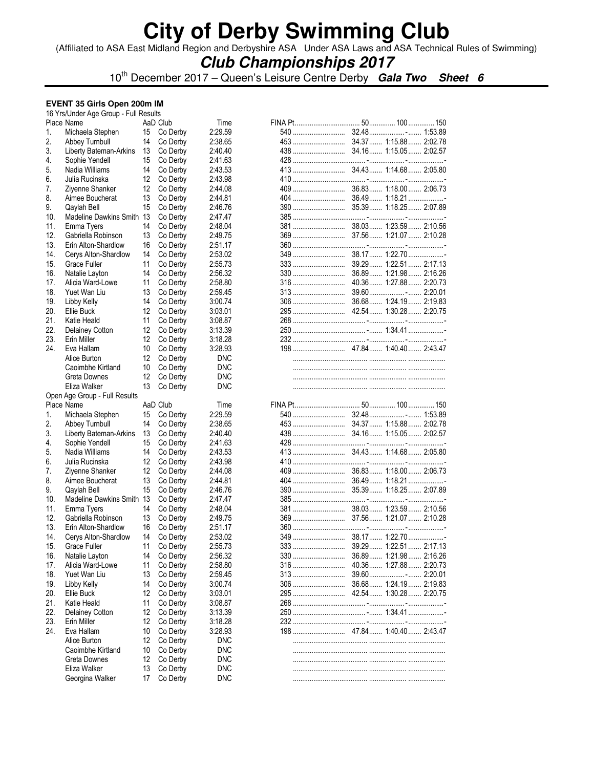(Affiliated to ASA East Midland Region and Derbyshire ASA Under ASA Laws and ASA Technical Rules of Swimming)

### **Club Championships 2017**

10th December 2017 – Queen's Leisure Centre Derby **Gala Two Sheet 6**

#### **EVENT 35 Girls Open 200m IM**

|     | 16 Yrs/Under Age Group - Full Results    |    |          |                    |     |                       |
|-----|------------------------------------------|----|----------|--------------------|-----|-----------------------|
|     | Place Name                               |    | AaD Club | Time               |     |                       |
| 1.  | Michaela Stephen                         | 15 | Co Derby | 2:29.59            |     |                       |
| 2.  | Abbey Turnbull                           | 14 | Co Derby | 2:38.65            |     |                       |
| 3.  | Liberty Bateman-Arkins                   | 13 | Co Derby | 2:40.40            |     |                       |
| 4.  | Sophie Yendell                           | 15 | Co Derby | 2:41.63            |     |                       |
| 5.  | Nadia Williams                           | 14 | Co Derby | 2:43.53            |     |                       |
| 6.  | Julia Rucinska                           | 12 | Co Derby | 2:43.98            |     |                       |
| 7.  | Ziyenne Shanker                          | 12 | Co Derby | 2:44.08            |     |                       |
| 8.  | Aimee Boucherat                          | 13 |          | 2:44.81            |     |                       |
|     |                                          |    | Co Derby |                    |     |                       |
| 9.  | Qaylah Bell<br>Madeline Dawkins Smith 13 | 15 | Co Derby | 2:46.76<br>2:47.47 |     |                       |
| 10. |                                          |    | Co Derby |                    |     |                       |
| 11. | Emma Tyers                               | 14 | Co Derby | 2:48.04            |     |                       |
| 12. | Gabriella Robinson                       | 13 | Co Derby | 2:49.75            |     |                       |
| 13. | Erin Alton-Shardlow                      | 16 | Co Derby | 2:51.17            |     |                       |
| 14. | Cerys Alton-Shardlow                     | 14 | Co Derby | 2:53.02            |     |                       |
| 15. | Grace Fuller                             | 11 | Co Derby | 2:55.73            |     |                       |
| 16. | Natalie Layton                           | 14 | Co Derby | 2:56.32            |     |                       |
| 17. | Alicia Ward-Lowe                         | 11 | Co Derby | 2:58.80            |     |                       |
| 18. | Yuet Wan Liu                             | 13 | Co Derby | 2:59.45            |     |                       |
| 19. | Libby Kelly                              | 14 | Co Derby | 3:00.74            |     |                       |
| 20. | Ellie Buck                               | 12 | Co Derby | 3:03.01            |     |                       |
| 21. | Katie Heald                              | 11 | Co Derby | 3:08.87            |     |                       |
| 22. | Delainey Cotton                          | 12 | Co Derby | 3:13.39            |     |                       |
| 23. | Erin Miller                              | 12 | Co Derby | 3:18.28            |     |                       |
| 24. | Eva Hallam                               | 10 | Co Derby | 3:28.93            |     |                       |
|     | Alice Burton                             | 12 | Co Derby | <b>DNC</b>         |     |                       |
|     | Caoimbhe Kirtland                        | 10 | Co Derby | <b>DNC</b>         |     |                       |
|     | Greta Downes                             | 12 | Co Derby | <b>DNC</b>         |     |                       |
|     |                                          | 13 |          |                    |     |                       |
|     | Eliza Walker                             |    | Co Derby | <b>DNC</b>         |     |                       |
|     |                                          |    |          |                    |     |                       |
|     | Open Age Group - Full Results            |    |          |                    |     |                       |
|     | Place Name                               |    | AaD Club | Time               |     |                       |
| 1.  | Michaela Stephen                         | 15 | Co Derby | 2:29.59            |     |                       |
| 2.  | Abbey Turnbull                           | 14 | Co Derby | 2:38.65            |     |                       |
| 3.  | Liberty Bateman-Arkins                   | 13 | Co Derby | 2:40.40            |     |                       |
| 4.  | Sophie Yendell                           | 15 | Co Derby | 2:41.63            |     |                       |
| 5.  | Nadia Williams                           | 14 | Co Derby | 2:43.53            |     |                       |
| 6.  | Julia Rucinska                           | 12 | Co Derby | 2:43.98            |     |                       |
| 7.  | Ziyenne Shanker                          | 12 | Co Derby | 2:44.08            |     |                       |
| 8.  | Aimee Boucherat                          | 13 | Co Derby | 2:44.81            |     |                       |
| 9.  | Qaylah Bell                              | 15 | Co Derby | 2:46.76            |     |                       |
| 10. | Madeline Dawkins Smith 13                |    | Co Derby | 2:47.47            |     |                       |
| 11. |                                          | 14 |          | 2:48.04            |     |                       |
|     | Emma Tyers                               |    | Co Derby |                    |     |                       |
| 12. | Gabriella Robinson                       | 13 | Co Derby | 2:49.75            |     |                       |
| 13. | Erin Alton-Shardlow                      | 16 | Co Derby | 2:51.17            |     |                       |
| 14. | Cerys Alton-Shardlow                     | 14 | Co Derby | 2:53.02            |     |                       |
| 15. | Grace Fuller                             | 11 | Co Derby | 2:55.73            |     |                       |
| 16. | Natalie Layton                           | 14 | Co Derby | 2:56.32            | 330 | 36.89 1:21.98 2:16.26 |
| 17. | Alicia Ward-Lowe                         | 11 | Co Derby | 2:58.80            | 316 | 40.36 1:27.88 2:20.73 |
| 18. | Yuet Wan Liu                             | 13 | Co Derby | 2:59.45            | 313 |                       |
| 19. | Libby Kelly                              | 14 | Co Derby | 3:00.74            | 306 | 36.68 1:24.19 2:19.83 |
| 20. | Ellie Buck                               | 12 | Co Derby | 3:03.01            |     |                       |
| 21. | Katie Heald                              | 11 | Co Derby | 3:08.87            |     |                       |
| 22. | <b>Delainey Cotton</b>                   | 12 | Co Derby | 3:13.39            |     |                       |
| 23. | Erin Miller                              | 12 | Co Derby | 3:18.28            |     |                       |
| 24. | Eva Hallam                               | 10 | Co Derby | 3:28.93            |     |                       |
|     | Alice Burton                             | 12 | Co Derby | <b>DNC</b>         |     |                       |
|     | Caoimbhe Kirtland                        | 10 | Co Derby | <b>DNC</b>         |     |                       |
|     | Greta Downes                             | 12 | Co Derby | <b>DNC</b>         |     |                       |
|     | Eliza Walker                             | 13 | Co Derby | <b>DNC</b>         |     |                       |

| 333 | 39.29 1:22.51 2:17.13 |  |
|-----|-----------------------|--|
| 330 | 36.89 1:21.98 2:16.26 |  |
|     | 40.36 1:27.88 2:20.73 |  |
|     |                       |  |
|     |                       |  |
|     |                       |  |
|     |                       |  |
|     |                       |  |
|     |                       |  |
|     |                       |  |
|     |                       |  |
|     |                       |  |

| <b>INA Pt</b> |       | 50 100 150            |   |
|---------------|-------|-----------------------|---|
| 540           |       |                       |   |
|               | 34.37 | 1:15.88  2:02.78      |   |
|               |       | 34.16 1:15.05 2:02.57 |   |
| 428           |       | . -                   | . |
| 413           |       | 34.43 1:14.68 2:05.80 |   |
|               |       |                       |   |
|               | 36.83 | $1:18.00$ 2:06.73     |   |
| 404           | 36.49 | $1:18.21$             |   |
| 390           | 35.39 | 1:18.25  2:07.89      |   |
|               |       |                       |   |
| 381           |       | 38.03 1:23.59 2:10.56 |   |
|               | 37.56 | 1:21.072:10.28        |   |
|               |       |                       |   |
|               | 38 17 | $1:22.70$             |   |
| 333           | 39.29 | $1:22.51$ $2:17.13$   |   |
|               | 36.89 | $1:21.98$ $2:16.26$   |   |
|               | 40.36 | $1:27.88$ $2:20.73$   |   |
|               |       |                       |   |
|               | 36.68 | $1:24.19$ 2:19.83     |   |
|               |       |                       |   |
|               |       |                       |   |
|               |       |                       |   |
| 232           |       |                       |   |
|               |       |                       |   |
|               |       |                       |   |
|               |       |                       |   |
|               |       |                       |   |
|               |       |                       |   |
|               |       |                       |   |